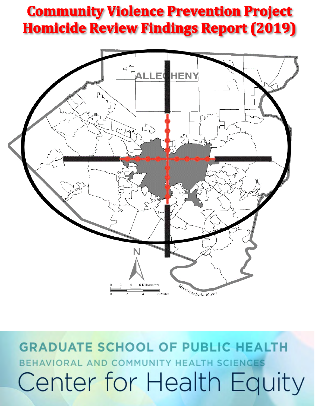# **Community Violence Prevention Project Homicide Review Findings Report (2019)**



**GRADUATE SCHOOL OF PUBLIC HEALTH** BEHAVIORAL AND COMMUNITY HEALTH SCIENCES Center for Health Equity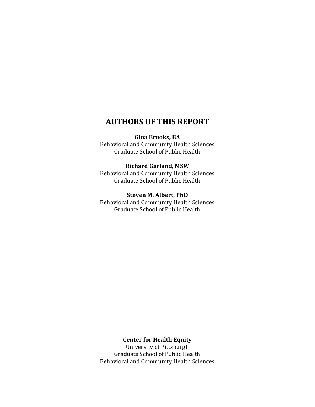## **AUTHORS OF THIS REPORT**

**Gina Brooks, BA**

Behavioral and Community Health Sciences Graduate School of Public Health

#### **Richard Garland, MSW**

Behavioral and Community Health Sciences Graduate School of Public Health

**Steven M. Albert, PhD** Behavioral and Community Health Sciences

Graduate School of Public Health

#### **Center for Health Equity**

University of Pittsburgh Graduate School of Public Health Behavioral and Community Health Sciences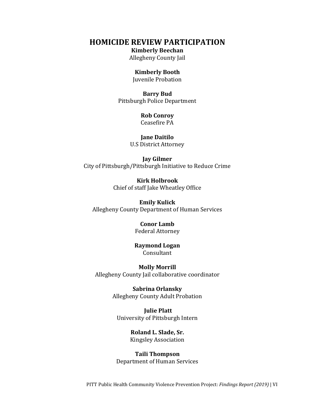#### **HOMICIDE REVIEW PARTICIPATION**

#### **Kimberly Beechan**

Allegheny County Jail

#### **Kimberly Booth**

Juvenile Probation

**Barry Bud** Pittsburgh Police Department

#### **Rob Conroy**

Ceasefire PA

#### **Jane Daitilo** U.S District Attorney

**Jay Gilmer** City of Pittsburgh/Pittsburgh Initiative to Reduce Crime

> **Kirk Holbrook**  Chief of staff Jake Wheatley Office

**Emily Kulick**  Allegheny County Department of Human Services

#### **Conor Lamb**  Federal Attorney

#### **Raymond Logan** Consultant

**Molly Morrill** Allegheny County Jail collaborative coordinator

> **Sabrina Orlansky**  Allegheny County Adult Probation

**Julie Platt**  University of Pittsburgh Intern

> **Roland L. Slade, Sr.**  Kingsley Association

**Taili Thompson** Department of Human Services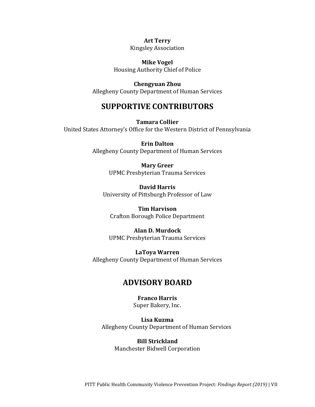**Art Terry** Kingsley Association

**Mike Vogel** Housing Authority Chief of Police

**Chengyuan Zhou** Allegheny County Department of Human Services

### **SUPPORTIVE CONTRIBUTORS**

**Tamara Collier**  United States Attorney's Office for the Western District of Pennsylvania

> **Erin Dalton**  Allegheny County Department of Human Services

> > **Mary Greer** UPMC Presbyterian Trauma Services

**David Harris**  University of Pittsburgh Professor of Law

**Tim Harvison** Crafton Borough Police Department

**Alan D. Murdock** UPMC Presbyterian Trauma Services

**LaToya Warren** Allegheny County Department of Human Services

### **ADVISORY BOARD**

**Franco Harris** Super Bakery, Inc.

**Lisa Kuzma**  Allegheny County Department of Human Services

**Bill Strickland** Manchester Bidwell Corporation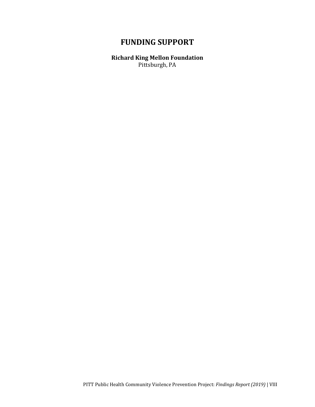## **FUNDING SUPPORT**

**Richard King Mellon Foundation** Pittsburgh, PA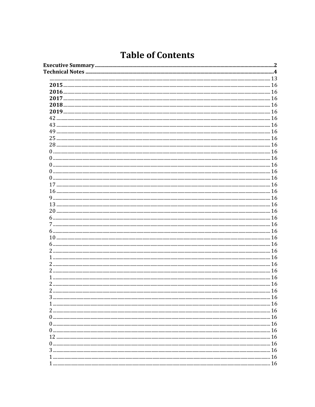## **Table of Contents**

| $\overline{2}$ | -16 |
|----------------|-----|
|                |     |
|                |     |
|                |     |
|                |     |
|                |     |
|                |     |
|                |     |
|                |     |
|                |     |
|                |     |
|                |     |
|                |     |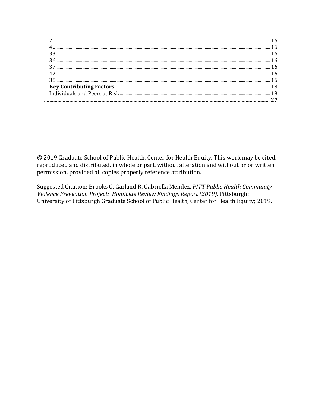© 2019 Graduate School of Public Health, Center for Health Equity. This work may be cited, reproduced and distributed, in whole or part, without alteration and without prior written permission, provided all copies properly reference attribution.

Suggested Citation: Brooks G, Garland R, Gabriella Mendez. PITT Public Health Community Violence Prevention Project: Homicide Review Findings Report (2019). Pittsburgh: University of Pittsburgh Graduate School of Public Health, Center for Health Equity; 2019.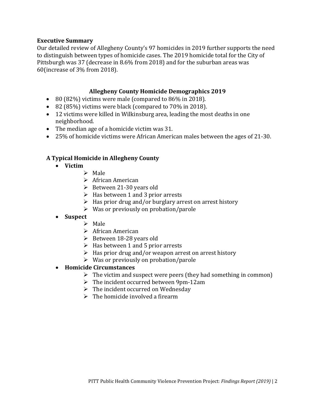#### <span id="page-8-0"></span>**Executive Summary**

Our detailed review of Allegheny County's 97 homicides in 2019 further supports the need to distinguish between types of homicide cases. The 2019 homicide total for the City of Pittsburgh was 37 (decrease in 8.6% from 2018) and for the suburban areas was 60(increase of 3% from 2018).

#### **Allegheny County Homicide Demographics 2019**

- 80 (82%) victims were male (compared to 86% in 2018).
- 82 (85%) victims were black (compared to 70% in 2018).
- 12 victims were killed in Wilkinsburg area, leading the most deaths in one neighborhood.
- The median age of a homicide victim was 31.
- 25% of homicide victims were African American males between the ages of 21-30.

#### **A Typical Homicide in Allegheny County**

- **Victim**
	- $\triangleright$  Male
	- $\triangleright$  African American
	- $\triangleright$  Between 21-30 years old
	- $\triangleright$  Has between 1 and 3 prior arrests
	- $\triangleright$  Has prior drug and/or burglary arrest on arrest history
	- $\triangleright$  Was or previously on probation/parole

#### • **Suspect**

- $\triangleright$  Male
- $\triangleright$  African American
- $\triangleright$  Between 18-28 years old
- $\triangleright$  Has between 1 and 5 prior arrests
- $\triangleright$  Has prior drug and/or weapon arrest on arrest history
- $\triangleright$  Was or previously on probation/parole

#### • **Homicide Circumstances**

- $\triangleright$  The victim and suspect were peers (they had something in common)
- $\triangleright$  The incident occurred between 9pm-12am
- $\triangleright$  The incident occurred on Wednesday
- $\triangleright$  The homicide involved a firearm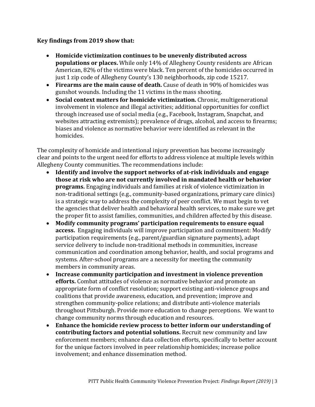#### **Key findings from 2019 show that:**

- **Homicide victimization continues to be unevenly distributed across populations or places.** While only 14% of Allegheny County residents are African American, 82% of the victims were black. Ten percent of the homicides occurred in just 1 zip code of Allegheny County's 130 neighborhoods, zip code 15217.
- **Firearms are the main cause of death.** Cause of death in 90% of homicides was gunshot wounds. Including the 11 victims in the mass shooting.
- **Social context matters for homicide victimization.** Chronic, multigenerational involvement in violence and illegal activities; additional opportunities for conflict through increased use of social media (e.g., Facebook, Instagram, Snapchat, and websites attracting extremists); prevalence of drugs, alcohol, and access to firearms; biases and violence as normative behavior were identified as relevant in the homicides.

The complexity of homicide and intentional injury prevention has become increasingly clear and points to the urgent need for efforts to address violence at multiple levels within Allegheny County communities. The recommendations include:

- **Identify and involve the support networks of at-risk individuals and engage those at risk who are not currently involved in mandated health or behavior programs.** Engaging individuals and families at risk of violence victimization in non-traditional settings (e.g., community-based organizations, primary care clinics) is a strategic way to address the complexity of peer conflict. We must begin to vet the agencies that deliver health and behavioral health services, to make sure we get the proper fit to assist families, communities, and children affected by this disease.
- **Modify community programs' participation requirements to ensure equal access.** Engaging individuals will improve participation and commitment: Modify participation requirements (e.g., parent/guardian signature payments), adapt service delivery to include non-traditional methods in communities, increase communication and coordination among behavior, health, and social programs and systems. After-school programs are a necessity for meeting the community members in community areas.
- **Increase community participation and investment in violence prevention efforts.** Combat attitudes of violence as normative behavior and promote an appropriate form of conflict resolution; support existing anti-violence groups and coalitions that provide awareness, education, and prevention; improve and strengthen community-police relations; and distribute anti-violence materials throughout Pittsburgh. Provide more education to change perceptions. We want to change community norms through education and resources.
- **Enhance the homicide review process to better inform our understanding of contributing factors and potential solutions.** Recruit new community and law enforcement members; enhance data collection efforts, specifically to better account for the unique factors involved in peer relationship homicides; increase police involvement; and enhance dissemination method.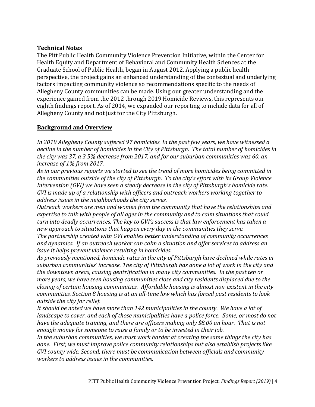#### <span id="page-10-0"></span>**Technical Notes**

The Pitt Public Health Community Violence Prevention Initiative, within the Center for Health Equity and Department of Behavioral and Community Health Sciences at the Graduate School of Public Health, began in August 2012. Applying a public health perspective, the project gains an enhanced understanding of the contextual and underlying factors impacting community violence so recommendations specific to the needs of Allegheny County communities can be made. Using our greater understanding and the experience gained from the 2012 through 2019 Homicide Reviews, this represents our eighth findings report. As of 2014, we expanded our reporting to include data for all of Allegheny County and not just for the City Pittsburgh.

#### **Background and Overview**

*In 2019 Allegheny County suffered 97 homicides. In the past few years, we have witnessed a decline in the number of homicides in the City of Pittsburgh. The total number of homicides in the city was 37, a 3.5% decrease from 2017, and for our suburban communities was 60, an increase of 1% from 2017.*

*As in our previous reports we started to see the trend of more homicides being committed in the communities outside of the city of Pittsburgh. To the city's effort with its Group Violence Intervention (GVI) we have seen a steady decrease in the city of Pittsburgh's homicide rate. GVI is made up of a relationship with officers and outreach workers working together to address issues in the neighborhoods the city serves.*

*Outreach workers are men and women from the community that have the relationships and expertise to talk with people of all ages in the community and to calm situations that could turn into deadly occurrences. The key to GVI's success is that law enforcement has taken a new approach to situations that happen every day in the communities they serve.* 

*The partnership created with GVI enables better understanding of community occurrences and dynamics. If an outreach worker can calm a situation and offer services to address an issue it helps prevent violence resulting in homicides.* 

*As previously mentioned, homicide rates in the city of Pittsburgh have declined while rates in suburban communities' increase. The city of Pittsburgh has done a lot of work in the city and the downtown areas, causing gentrification in many city communities. In the past ten or more years, we have seen housing communities close and city residents displaced due to the closing of certain housing communities. Affordable housing is almost non-existent in the city communities. Section 8 housing is at an all-time low which has forced past residents to look outside the city for relief.*

*It should be noted we have more than 142 municipalities in the county. We have a lot of landscape to cover, and each of those municipalities have a police force. Some, or most do not have the adequate training, and there are officers making only \$8.00 an hour. That is not enough money for someone to raise a family or to be invested in their job.* 

*In the suburban communities, we must work harder at creating the same things the city has done. First, we must improve police community relationships but also establish projects like GVI county wide. Second, there must be communication between officials and community workers to address issues in the communities.*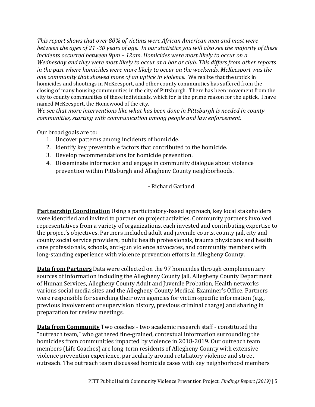*This report shows that over 80% of victims were African American men and most were between the ages of 21 -30 years of age. In our statistics you will also see the majority of these incidents occurred between 9pm – 12am. Homicides were most likely to occur on a Wednesday and they were most likely to occur at a bar or club. This differs from other reports in the past where homicides were more likely to occur on the weekends. McKeesport was the one community that showed more of an uptick in violence.* We realize that the uptick in homicides and shootings in McKeesport, and other county communities has suffered from the closing of many housing communities in the city of Pittsburgh. There has been movement from the city to county communities of these individuals, which for is the prime reason for the uptick. I have named McKeesport, the Homewood of the city.

*We see that more interventions like what has been done in Pittsburgh is needed in county communities, starting with communication among people and law enforcement.* 

Our broad goals are to:

- 1. Uncover patterns among incidents of homicide.
- 2. Identify key preventable factors that contributed to the homicide.
- 3. Develop recommendations for homicide prevention.
- 4. Disseminate information and engage in community dialogue about violence prevention within Pittsburgh and Allegheny County neighborhoods.

- Richard Garland

**Partnership Coordination** Using a participatory-based approach, key local stakeholders were identified and invited to partner on project activities. Community partners involved representatives from a variety of organizations, each invested and contributing expertise to the project's objectives. Partners included adult and juvenile courts, county jail, city and county social service providers, public health professionals, trauma physicians and health care professionals, schools, anti-gun violence advocates, and community members with long-standing experience with violence prevention efforts in Allegheny County.

**Data from Partners** Data were collected on the 97 homicides through complementary sources of information including the Allegheny County Jail, Allegheny County Department of Human Services, Allegheny County Adult and Juvenile Probation, Health networks various social media sites and the Allegheny County Medical Examiner's Office. Partners were responsible for searching their own agencies for victim-specific information (e.g., previous involvement or supervision history, previous criminal charge) and sharing in preparation for review meetings.

**Data from Community** Two coaches - two academic research staff - constituted the "outreach team," who gathered fine-grained, contextual information surrounding the homicides from communities impacted by violence in 2018-2019. Our outreach team members (Life Coaches) are long-term residents of Allegheny County with extensive violence prevention experience, particularly around retaliatory violence and street outreach. The outreach team discussed homicide cases with key neighborhood members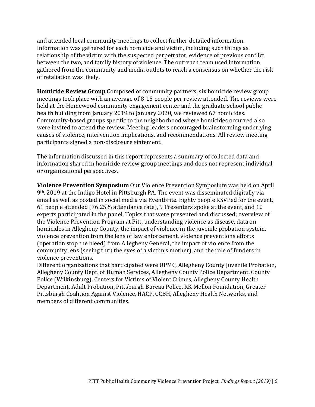and attended local community meetings to collect further detailed information. Information was gathered for each homicide and victim, including such things as relationship of the victim with the suspected perpetrator, evidence of previous conflict between the two, and family history of violence. The outreach team used information gathered from the community and media outlets to reach a consensus on whether the risk of retaliation was likely.

**Homicide Review Group** Composed of community partners, six homicide review group meetings took place with an average of 8-15 people per review attended. The reviews were held at the Homewood community engagement center and the graduate school public health building from January 2019 to January 2020, we reviewed 67 homicides. Community-based groups specific to the neighborhood where homicides occurred also were invited to attend the review. Meeting leaders encouraged brainstorming underlying causes of violence, intervention implications, and recommendations. All review meeting participants signed a non-disclosure statement.

The information discussed in this report represents a summary of collected data and information shared in homicide review group meetings and does not represent individual or organizational perspectives.

**Violence Prevention Symposium** Our Violence Prevention Symposium was held on April 9th, 2019 at the Indigo Hotel in Pittsburgh PA. The event was disseminated digitally via email as well as posted in social media via Eventbrite. Eighty people RSVPed for the event, 61 people attended (76.25% attendance rate), 9 Presenters spoke at the event, and 10 experts participated in the panel. Topics that were presented and discussed; overview of the Violence Prevention Program at Pitt, understanding violence as disease, data on homicides in Allegheny County, the impact of violence in the juvenile probation system, violence prevention from the lens of law enforcement, violence preventions efforts (operation stop the bleed) from Allegheny General, the impact of violence from the community lens (seeing thru the eyes of a victim's mother), and the role of funders in violence preventions.

Different organizations that participated were UPMC, Allegheny County Juvenile Probation, Allegheny County Dept. of Human Services, Allegheny County Police Department, County Police (Wilkinsburg), Centers for Victims of Violent Crimes, Allegheny County Health Department, Adult Probation, Pittsburgh Bureau Police, RK Mellon Foundation, Greater Pittsburgh Coalition Against Violence, HACP, CCBH, Allegheny Health Networks, and members of different communities.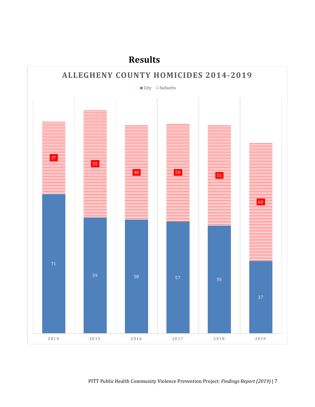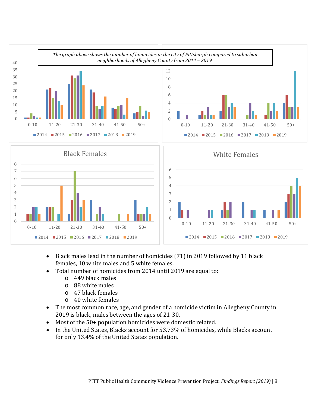

- Black males lead in the number of homicides (71) in 2019 followed by 11 black females, 10 white males and 5 white females.
- Total number of homicides from 2014 until 2019 are equal to:
	- o 449 black males
	- o 88 white males
	- o 47 black females
	- o 40 white females
- The most common race, age, and gender of a homicide victim in Allegheny County in 2019 is black, males between the ages of 21-30.
- Most of the 50+ population homicides were domestic related.
- In the United States, Blacks account for 53.73% of homicides, while Blacks account for only 13.4% of the United States population.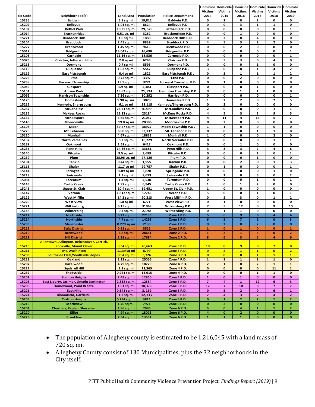|                 |                                                        |                             |                 |                                                  | Homicide   Homicide   Homicide |                                        |                               |                               | Homicide Homicide            | Homicide                     |
|-----------------|--------------------------------------------------------|-----------------------------|-----------------|--------------------------------------------------|--------------------------------|----------------------------------------|-------------------------------|-------------------------------|------------------------------|------------------------------|
|                 |                                                        |                             |                 |                                                  | <b>Victims</b>                 | <b>Victims</b>                         | <b>Victims</b>                | <b>Victims</b>                | <b>Victims</b>               | <b>Victims</b>               |
| <b>Zip Code</b> | Neighborhood(s)                                        | <b>Land Area</b>            | Population      | <b>Police Department</b>                         | 2014<br>0                      | 2015<br>2                              | 2016<br>0                     | 2017                          | 2018<br>0                    | 2019                         |
| 15236<br>15202  | <b>Baldwin</b><br><b>Bellevue</b>                      | 5.9 sq mi<br>1.01 sq. mi    | 19,812<br>8624  | <b>Baldwin P.D.</b><br><b>Bellevue P.D.</b>      | 0                              | 0                                      | 3                             | 2<br>$\mathbf{1}$             | $\mathbf 1$                  | 0<br>0                       |
| 15102           | <b>Bethel Park</b>                                     | 10.35 sq. mi                | 29,529          | Bethel Park P.D.                                 | 0                              | 0                                      | 0                             | 0                             | 0                            | $\mathbf{1}$                 |
| 15014           | <b>Brackenridge</b>                                    | 0.51 sq. mi                 | 3262            | <b>Brackenridge P.D.</b>                         | $\mathbf 0$                    | 0                                      | $\mathbf{1}$                  | 0                             | 0                            | 0                            |
| 15221           | <b>Braddock Hills</b>                                  | 1.0 sq mi                   | 1880            | <b>Braddock Hills P.D</b>                        | 0                              | $\mathbf{z}$                           | 0                             | 4                             | 0                            | 0                            |
| 15104           | <b>Braddock</b>                                        | 2.45 sq. mi                 | 8839            | <b>Braddock P.D.</b>                             | 4                              | 5                                      | з                             | 2                             | $\mathbf{2}$                 | 0                            |
| 15227           | Brentwood                                              | 1.45 Sq. mi                 | 9613            | Brentwood P.D.                                   | $\mathbf 0$                    | 0                                      | $\overline{\mathbf{2}}$       | 0                             | 0                            | 0                            |
| 15017           | <b>Bridgeville</b>                                     | 13.045 sq. mi               | 16,690          | Bridgeville P.D.                                 | 0                              | 0                                      | 0                             | 0                             | 0                            | $\mathbf{1}$                 |
| 15106           | Carnegie                                               | 11.16 sq. mi                | 18,536          | Carnegie P.D.                                    | $\mathbf 0$                    | 0                                      | 0                             | O                             | 0                            | $\mathbf 1$                  |
| 15025<br>15216  | <b>Clairton, Jefferson Hills</b><br>Dormont            | 2.8 sq mi                   | 6796            | Clairton P.D.<br>Dormont P.D.                    | $\mathbf 0$<br>$\mathbf 0$     | 5<br>0                                 | 3<br>0                        | 0<br>$\mathbf{1}$             | 4<br>0                       | 0<br>0                       |
| 15110           | <b>Duquesne</b>                                        | 0.7 sq mi<br>1.82 sq. mi    | 8593<br>5547    | Dugesne P.D                                      | 3                              | 0                                      | 0                             | $\mathbf 1$                   | 4                            | 2                            |
| 15112           | <b>East Pittsburgh</b>                                 | 0.4 sq mi                   | 1822            | East Pittsburgh P.D.                             | $\mathbf 0$                    | $\overline{2}$                         | $\mathbf{1}$                  | $\mathbf{1}$                  | 1                            | $\overline{\mathbf{c}}$      |
| 15223           | Etna                                                   | 0.73 sq. mi                 | 3397            | Etna P.D.                                        | $\mathbf 0$                    | 0                                      | $\overline{\mathbf{2}}$       | 0                             | 0                            | 0                            |
| 15238           | <b>Forward Township</b>                                | 19.9 sq. mi                 | 3771            | Forward Township P.D.                            | 0                              | 1                                      | 0                             | 0                             | 0                            | 0                            |
| 15045           | Glasport                                               | 1.9 sq. mi                  | 4,483           | Glassport P.D.                                   | $\mathbf 0$                    | 0                                      | 0                             | $\mathbf{1}$                  | 0                            | 0                            |
| 15101           | <b>Allison Park</b>                                    | 13.82 sq. mi                | 21,741          | Hampton Township P.D.                            | 0                              | 0                                      | $\mathbf{1}$                  | $\mathbf{1}$                  | 0                            | 0                            |
| 15065           | <b>Harrison Township</b>                               | 7.36 sq. mi                 | 10,292          | Harrison P.D.                                    | $\mathbf 0$                    | 0                                      | $\mathbf 0$                   | 0                             | 0                            | $\mathbf 1$                  |
| 15120           | Homestead                                              | 1.90 sq. mi                 | 3079            | Homestead P.D.                                   | 1<br>$\pmb{0}$                 | $\mathbf{z}$                           | $\overline{\mathbf{2}}$<br>0  | 0<br>0                        | $\mathbf{z}$<br>0            | 5<br>0                       |
| 15215<br>15237  | Kennedy, Sharpsburg<br><b>McCandless</b>               | 6.1 sq mi<br>24.21 sq. mi   | 11.118<br>41499 | Kennedy/Sharpsburg P.D.<br>McCandless P.D.       | $\overline{\mathbf{2}}$        | 2<br>0                                 | 0                             | 0                             | 1                            | 1                            |
| 15136           | <b>McKees Rocks</b>                                    | 11.13 sq. mi                | 23184           | McKees Rocks P.D.                                | 4                              | 5                                      | 3                             | 3                             | 9                            | 5                            |
| 15132           | <b>McKeesport</b>                                      | 5.65 sq. mi                 | 21057           | McKeesport P.D.                                  | 4                              | 11                                     | 4                             | 14                            | 5                            | $\overline{\mathbf{z}}$      |
| 15146           | Monroeville                                            | 19.8 sq mi                  | 28386           | Monroeville P.D.                                 | 0                              | $\mathbf{z}$                           | $\mathbf 0$                   | 0                             | 0                            | 0                            |
| 15108           | Moon                                                   | 39.47 sq. mi                | 38927           | Moon Township P.D                                | 1                              | 1                                      | $\mathbf 0$                   | 0                             | 0                            | 0                            |
| 15228           | Mt. Lebanon                                            | 6.08 sq. mi                 | 33,137          | Mt. Lebanon P.D.                                 | $\mathbf 0$                    | 0                                      | $\mathbf 0$                   | $\mathbf{1}$                  | $\mathbf 1$                  | 0                            |
| 15120           | <b>Munhall</b>                                         | 4.67 sq. mi                 | 18833           | Munhall P.D.                                     | 1                              | 0                                      | $\mathbf 0$                   | 0                             | 2                            | 0                            |
| 15137           | <b>North Versailles</b>                                | 8.2 sq. mi                  | 10,229          | North Versailes P.D.                             | $\mathbf 0$<br>0               | 0<br>0                                 | $\mathbf 0$<br>$\mathbf{1}$   | 0<br>0                        | $\mathbf 1$<br>0             | $\mathbf 1$<br>0             |
| 15139<br>15235  | Oakmont<br><b>Penn Hills</b>                           | 1.59 sq. mi<br>14.66 sq. mi | 6412<br>33681   | Oakmont P.D.<br>Penn Hills P.D.                  | з                              | 3                                      | 3                             | 7                             | 4                            | 6                            |
| 15140           | Pitcairn                                               | 3.5 sq. mi                  | 3,689           | Pitcairn P.D.                                    | 0                              | 0                                      | 0                             | 1                             | 0                            | $\mathbf{1}$                 |
| 15239           | Plum                                                   | 28.96 sq. mi                | 27,126          | Plum P.D.                                        | 0                              | 0                                      | 0                             | 1                             | 0                            | 0                            |
| 15104           | Rankin                                                 | 0.44 sq. mi                 | 1,955           | Rankin P.D.                                      | $\mathbf 0$                    | 0                                      | $\overline{\mathbf{z}}$       | 0                             | $\mathbf 1$                  | 3                            |
| 15116           | Shaler                                                 | 11.7 sq mi                  | 29,757          | Shaler P.D.                                      | $\mathbf 0$                    | 1                                      | $\mathbf 0$                   | 0                             | 0                            | $\mathbf 1$                  |
| 15144           | Springdale                                             | 1.09 sq mi                  | 3,828           | Springdale P.D.                                  | 0                              | 0                                      | 0                             | 0                             | $\mathbf{1}$                 | 0                            |
| 15218           | Swissvale                                              | $1.3$ sq mi                 | 9,653           | Swissvale P.D                                    | 0                              | 2                                      | 0                             | 5                             | 0                            | $\mathbf{z}$                 |
| 15084           | Tarentum                                               | 1.4 sq. mi                  | 4,530           | Tarentum P.D.                                    | $\mathbf 0$                    | 0                                      | 0                             | 1                             | 0                            | 1                            |
| 15145<br>15241  | <b>Turtle Creek</b><br><b>Upper St. Clair</b>          | 1.97 sq. mi<br>10.4 sq. mi  | 6,945<br>19,651 | <b>Turtle Creek P.D.</b><br>Upper St. Clair P.D. | 1<br>${\bf 1}$                 | 0<br>0                                 | 1<br>0                        | $\overline{\mathbf{c}}$<br>0  | 0<br>0                       | 0<br>0                       |
| 15147           | Verona                                                 | 10.12 sq. mi                | 17743           | Verona P.D.                                      | 5                              | 0                                      | 0                             | 1                             | 0                            | 1                            |
| 15122           | <b>West Mifflin</b>                                    | 14.2 sq mi                  | 20,313          | West Mifflin P.D.                                | 0                              | 2                                      | 3                             | 0                             | $\mathbf 1$                  | $\overline{\mathbf{c}}$      |
| 15229           | <b>West View</b>                                       | 1.0 sq mi                   | 6771            | West View P.D.                                   | $\mathbf 0$                    | 1                                      | 0                             | 0                             | 0                            | 0                            |
| 15221           | Wilkinsburg                                            | 6.15 sq. mi                 | 31069           | Wilkinsburg P.D.                                 | $\overline{\mathbf{z}}$        | 5                                      | 12                            | 0                             | 9                            | 10                           |
| 15148           | Wilmerding                                             | 0.4 sq. mi                  | 2,190           | Wilmerding P.D.                                  | 0                              | 1                                      | $\mathbf{1}$                  | 0                             | 0                            | 0                            |
| 15212           | <b>Northside</b>                                       | 6.22 sq. mi                 | 27135           | Zone 1 P.D.                                      | 5                              | 6                                      | 9                             | 6                             | $\overline{\mathbf{4}}$      | $\overline{4}$               |
| 15214           | <b>Northside</b>                                       | 4.7 sq. mi                  | 14293           | Zone 1 P.D.<br><b>Zone 1 P.D.</b>                | 6                              | 5<br>$\overline{2}$                    | $\overline{7}$                | 2<br>$\overline{2}$           | $\bf o$                      | 3                            |
| 15233<br>15222  | <b>Manchester</b><br><b>Strip District</b>             | 0.279 sq mi<br>0.81 sq. mi  | 2130<br>3525    | Zone 2 P.D                                       | $\mathbf{0}$<br>$\mathbf{1}$   | 0                                      | $\mathbf{0}$<br>${\bf 1}$     | $\bf{0}$                      | $\mathbf{0}$<br>0            | $\bf o$<br>$\mathbf{1}$      |
| 15210           | <b>Brentwood</b>                                       | 6.8 sq. mi                  | 28641           | Zone 2 P.D.                                      | $\mathbf{1}$                   | $\overline{2}$                         | $\mathbf{1}$                  | 5                             | 0                            | $\overline{2}$               |
| 15219           | <b>Hill District</b>                                   | 2.29 sq. mi                 | 17684           | Zone 2 P.D.                                      | $\bf8$                         | 6                                      | $\ensuremath{\mathbf{3}}$     | 5                             | 4                            | 6                            |
|                 | Allentown, Arlington, Beltzhoover, Carrick,            |                             |                 |                                                  |                                |                                        |                               |                               |                              |                              |
| 15210           | <b>Knoxville, Mount Oliver</b>                         | 3.34 sq. mi                 | 20,663          | Zone 3 P.D.                                      | 10                             | $\overline{\mathbf{8}}$                | 9                             | $\bullet$                     | $\overline{7}$               | $\bullet$                    |
| 15211           | Mt. Washinton                                          | 1.139 sq mi                 | 8799            | Zone 3 P.D.                                      | $\bullet$                      | $\overline{2}$                         | $\mathbf{1}$                  | $\mathbf{1}$                  | $\bullet$                    | $\overline{2}$               |
| 15203           | <b>Southside Flats/Southside Slopes</b>                | 0.94 sq. mi                 | 5,726           | Zone 3 P.D.                                      | $\bullet$                      | $\bullet$                              | $\bullet$                     | $\mathbf{1}$                  | $\mathbf{1}$                 | $\mathbf{1}$                 |
| 15213<br>15207  | <b>Oakland</b><br><b>Hazelwood</b>                     | 2.13 sq. mi                 | 25066<br>10779  | <b>Zone 4 P.D.</b><br>Zone 4 P.D.                | $\mathbf{1}$<br>$\overline{2}$ | 3<br>$\mathbf{1}$                      | ${\bf 1}$<br>$\mathbf{0}$     | $\mathbf 1$<br>$\overline{a}$ | $\mathbf{1}$<br>$\mathbf{1}$ | 0                            |
| 15217           | <b>Squirrell Hill</b>                                  | 4.79 sq. mi<br>1.2 sq. mi   | 11,363          | Zone 4 P.D.                                      | $\pmb{\mathsf{o}}$             | $\mathbf 0$                            | $\mathbf 0$                   | $\mathbf 0$                   | 11                           | $\mathbf{1}$<br>${\bf 1}$    |
| 15232           | <b>Shadyside</b>                                       | 0.921 sq. mi                | 13,915          | Zone 4 P.D.                                      | $\pmb{\mathsf{o}}$             | $\mathbf{o}$                           | $\mathbf 0$                   | $\mathbf 1$                   | $\mathbf{1}$                 | $\bf o$                      |
| 15201           | <b>Stanton Heights</b>                                 | 2.48 sq. mi                 | 12850           | Zone 5 P.D.                                      | ${\bf 1}$                      | 0                                      | $\mathbf{1}$                  | $\bf{0}$                      | 0                            | 0                            |
| 15206           | East Liberty, Larimer, Lincoln Lemington               | 2.838 sq. mi                | 12584           | Zone 5 P.D.                                      | $\overline{\mathbf{z}}$        | 4                                      | $\mathbf{1}$                  | 12                            | 6                            | з                            |
| 15208           | <b>Homewood, Point Breeze</b>                          | 1.61 sq. mi                 | 10,486          | Zone 5 P.D.                                      | 12                             | $\overline{\mathbf{z}}$                | 10                            | 8                             | $\overline{7}$               | $\overline{\mathbf{z}}$      |
| 15221           | <b>East Hills</b>                                      | 0.541 sq mi                 | 3, 169          | Zone 5 P.D.                                      | $\mathbf 0$                    | 5                                      | $\mathbf{2}$                  | 0                             | 6                            | ${\bf 1}$                    |
| 15224           | <b>Bloomfield, Garfield,</b>                           | 1.2 sq. mi                  | 12, 117         | Zone 5 P.D.                                      | $\overline{7}$                 | 4                                      | 3                             | 2                             | 4                            | $\mathbf{2}$                 |
| 15205           | <b>Crafton Heights</b>                                 | 0.754 sq mi                 | 3814            | Zone 6 P.D.                                      | $\mathbf{o}$                   | 1                                      | $\overline{2}$                | $\overline{\mathbf{z}}$       | $\mathbf{1}$                 | 2                            |
| 15216<br>15204  | <b>Beechview</b><br><b>Chartiers, Esplen, Sheraden</b> | 1.46 sq mi<br>1.86 sq. mi   | 7974<br>7986    | Zone 6 P.D.<br>Zone 6 P.D.                       | $\mathbf{o}$<br>5              | $\overline{\mathbf{2}}$<br>$\mathbf 0$ | $\mathbf 0$<br>$\overline{a}$ | 0<br>$\mathbf{1}$             | $\mathbf{o}$<br>${\bf 1}$    | 0<br>$\overline{\mathbf{2}}$ |
| 15220           | <b>Elliot</b>                                          | 4.94 sq. mi                 | 18023           | Zone 6 P.D.                                      | 4                              | $\mathbf{o}$                           | $\overline{2}$                | 0                             | $\mathbf 0$                  | $\mathbf{0}$                 |
| 15226           | <b>Brookline</b>                                       | 2.54 sq. mi                 | 13551           | Zone 6 P.D.                                      | ${\bf 1}$                      | $\mathbf{1}$                           | $\mathbf 1$                   | 0                             | $\mathbf 0$                  | $\mathbf o$                  |

- The population of Allegheny county is estimated to be 1,216,045 with a land mass of 720 sq. mi.
- Allegheny County consist of 130 Municipalities, plus the 32 neighborhoods in the City itself.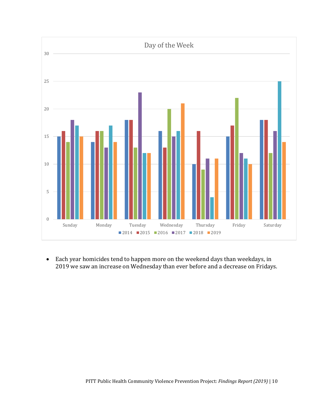

• Each year homicides tend to happen more on the weekend days than weekdays, in 2019 we saw an increase on Wednesday than ever before and a decrease on Fridays.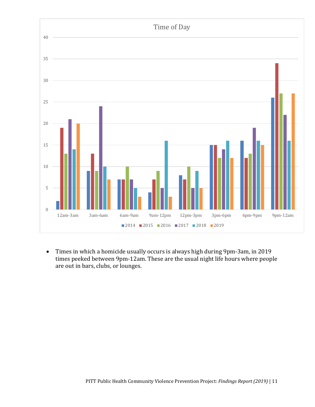

• Times in which a homicide usually occurs is always high during 9pm-3am, in 2019 times peeked between 9pm-12am. These are the usual night life hours where people are out in bars, clubs, or lounges.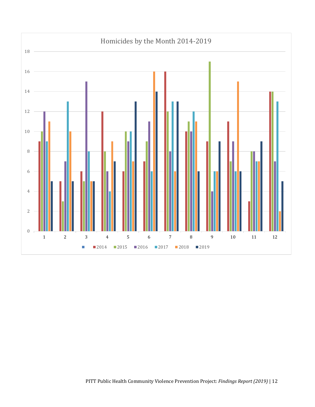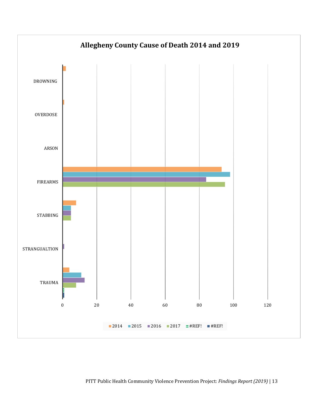<span id="page-19-0"></span>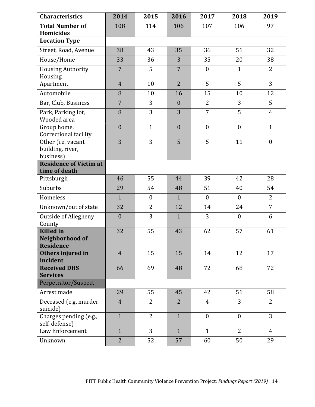| <b>Characteristics</b>                                  | 2014           | 2015             | 2016             | 2017             | 2018             | 2019           |
|---------------------------------------------------------|----------------|------------------|------------------|------------------|------------------|----------------|
| <b>Total Number of</b><br><b>Homicides</b>              | 108            | 114              | 106              | 107              | 106              | 97             |
| <b>Location Type</b>                                    |                |                  |                  |                  |                  |                |
| Street, Road, Avenue                                    | 38             | 43               | 35               | 36               | 51               | 32             |
| House/Home                                              | 33             | 36               | 3                | 35               | 20               | 38             |
| <b>Housing Authority</b><br>Housing                     | $\overline{7}$ | 5                | $\overline{7}$   | $\boldsymbol{0}$ | $\mathbf{1}$     | $\overline{2}$ |
| Apartment                                               | $\overline{4}$ | 10               | $\overline{2}$   | 5                | 5                | 3              |
| Automobile                                              | 8              | 10               | 16               | 15               | 10               | 12             |
| Bar, Club, Business                                     | $\overline{7}$ | 3                | $\boldsymbol{0}$ | $\overline{2}$   | 3                | 5              |
| Park, Parking lot,<br>Wooded area                       | 8              | 3                | 3                | $\overline{7}$   | 5                | $\overline{4}$ |
| Group home,<br>Correctional facility                    | $\mathbf{0}$   | $\mathbf{1}$     | $\boldsymbol{0}$ | $\boldsymbol{0}$ | $\boldsymbol{0}$ | $\mathbf{1}$   |
| Other (i.e. vacant<br>building, river,<br>business)     | 3              | 3                | 5                | 5                | 11               | $\mathbf{0}$   |
| <b>Residence of Victim at</b><br>time of death          |                |                  |                  |                  |                  |                |
| Pittsburgh                                              | 46             | 55               | 44               | 39               | 42               | 28             |
| Suburbs                                                 | 29             | 54               | 48               | 51               | 40               | 54             |
| Homeless                                                | $\mathbf{1}$   | $\boldsymbol{0}$ | $\mathbf{1}$     | $\boldsymbol{0}$ | $\boldsymbol{0}$ | $\overline{2}$ |
| Unknown/out of state                                    | 32             | $\overline{2}$   | 12               | 14               | 24               | $\overline{7}$ |
| Outside of Allegheny<br>County                          | $\overline{0}$ | 3                | $\mathbf{1}$     | 3                | $\boldsymbol{0}$ | 6              |
| <b>Killed</b> in<br>Neighborhood of<br><b>Residence</b> | 32             | 55               | 43               | 62               | 57               | 61             |
| Others injured in<br>incident                           | $\overline{4}$ | 15               | 15               | 14               | 12               | 17             |
| <b>Received DHS</b><br><b>Services</b>                  | 66             | 69               | 48               | 72               | 68               | 72             |
| Perpetrator/Suspect                                     |                |                  |                  |                  |                  |                |
| Arrest made                                             | 29             | 55               | 45               | 42               | 51               | 58             |
| Deceased (e.g. murder-<br>suicide)                      | $\overline{4}$ | $\overline{2}$   | $\overline{2}$   | $\overline{4}$   | 3                | $\overline{2}$ |
| Charges pending (e.g.,<br>self-defense)                 | $\mathbf{1}$   | $\overline{2}$   | $\mathbf{1}$     | $\boldsymbol{0}$ | $\boldsymbol{0}$ | 3              |
| Law Enforcement                                         | $\mathbf{1}$   | 3                | $\mathbf{1}$     | $\mathbf{1}$     | $\overline{2}$   | $\overline{4}$ |
| Unknown                                                 | $\overline{2}$ | 52               | 57               | 60               | 50               | 29             |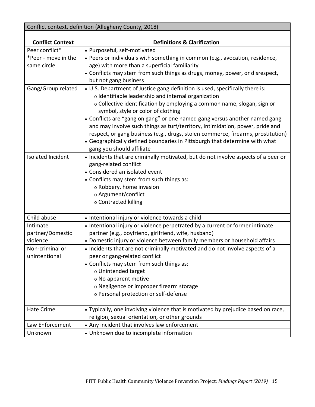| Conflict context, definition (Allegheny County, 2018) |                                                                                                               |  |  |  |  |
|-------------------------------------------------------|---------------------------------------------------------------------------------------------------------------|--|--|--|--|
|                                                       |                                                                                                               |  |  |  |  |
| <b>Conflict Context</b>                               | <b>Definitions &amp; Clarification</b>                                                                        |  |  |  |  |
| Peer conflict*                                        | • Purposeful, self-motivated                                                                                  |  |  |  |  |
| *Peer - move in the                                   | • Peers or individuals with something in common (e.g., avocation, residence,                                  |  |  |  |  |
| same circle.                                          | age) with more than a superficial familiarity                                                                 |  |  |  |  |
|                                                       | • Conflicts may stem from such things as drugs, money, power, or disrespect,                                  |  |  |  |  |
|                                                       | but not gang business                                                                                         |  |  |  |  |
| Gang/Group related                                    | • U.S. Department of Justice gang definition is used, specifically there is:                                  |  |  |  |  |
|                                                       | o Identifiable leadership and internal organization                                                           |  |  |  |  |
|                                                       | o Collective identification by employing a common name, slogan, sign or<br>symbol, style or color of clothing |  |  |  |  |
|                                                       | • Conflicts are "gang on gang" or one named gang versus another named gang                                    |  |  |  |  |
|                                                       | and may involve such things as turf/territory, intimidation, power, pride and                                 |  |  |  |  |
|                                                       | respect, or gang business (e.g., drugs, stolen commerce, firearms, prostitution)                              |  |  |  |  |
|                                                       | • Geographically defined boundaries in Pittsburgh that determine with what                                    |  |  |  |  |
|                                                       | gang you should affiliate                                                                                     |  |  |  |  |
| Isolated Incident                                     | • Incidents that are criminally motivated, but do not involve aspects of a peer or                            |  |  |  |  |
|                                                       | gang-related conflict                                                                                         |  |  |  |  |
|                                                       | • Considered an isolated event                                                                                |  |  |  |  |
|                                                       | • Conflicts may stem from such things as:                                                                     |  |  |  |  |
|                                                       | o Robbery, home invasion                                                                                      |  |  |  |  |
|                                                       | o Argument/conflict                                                                                           |  |  |  |  |
|                                                       | o Contracted killing                                                                                          |  |  |  |  |
|                                                       |                                                                                                               |  |  |  |  |
| Child abuse                                           | • Intentional injury or violence towards a child                                                              |  |  |  |  |
| Intimate                                              | • Intentional injury or violence perpetrated by a current or former intimate                                  |  |  |  |  |
| partner/Domestic                                      | partner (e.g., boyfriend, girlfriend, wife, husband)                                                          |  |  |  |  |
| violence                                              | • Domestic injury or violence between family members or household affairs                                     |  |  |  |  |
| Non-criminal or                                       | • Incidents that are not criminally motivated and do not involve aspects of a                                 |  |  |  |  |
| unintentional                                         | peer or gang-related conflict                                                                                 |  |  |  |  |
|                                                       | • Conflicts may stem from such things as:                                                                     |  |  |  |  |
|                                                       | o Unintended target                                                                                           |  |  |  |  |
|                                                       | o No apparent motive                                                                                          |  |  |  |  |
|                                                       | o Negligence or improper firearm storage                                                                      |  |  |  |  |
|                                                       | o Personal protection or self-defense                                                                         |  |  |  |  |
| <b>Hate Crime</b>                                     | • Typically, one involving violence that is motivated by prejudice based on race,                             |  |  |  |  |
|                                                       | religion, sexual orientation, or other grounds                                                                |  |  |  |  |
| Law Enforcement                                       | • Any incident that involves law enforcement                                                                  |  |  |  |  |
| Unknown                                               | • Unknown due to incomplete information                                                                       |  |  |  |  |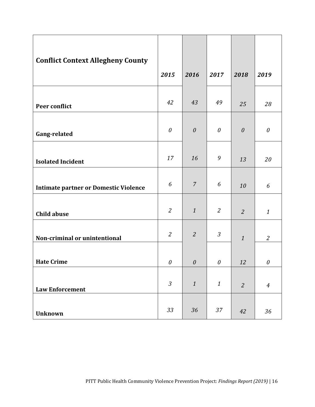<span id="page-22-49"></span><span id="page-22-48"></span><span id="page-22-47"></span><span id="page-22-46"></span><span id="page-22-45"></span><span id="page-22-44"></span><span id="page-22-43"></span><span id="page-22-42"></span><span id="page-22-41"></span><span id="page-22-40"></span><span id="page-22-39"></span><span id="page-22-38"></span><span id="page-22-37"></span><span id="page-22-36"></span><span id="page-22-35"></span><span id="page-22-34"></span><span id="page-22-33"></span><span id="page-22-32"></span><span id="page-22-31"></span><span id="page-22-30"></span><span id="page-22-29"></span><span id="page-22-28"></span><span id="page-22-27"></span><span id="page-22-26"></span><span id="page-22-25"></span><span id="page-22-24"></span><span id="page-22-23"></span><span id="page-22-22"></span><span id="page-22-21"></span><span id="page-22-20"></span><span id="page-22-19"></span><span id="page-22-18"></span><span id="page-22-17"></span><span id="page-22-16"></span><span id="page-22-15"></span><span id="page-22-14"></span><span id="page-22-13"></span><span id="page-22-12"></span><span id="page-22-11"></span><span id="page-22-10"></span><span id="page-22-9"></span><span id="page-22-8"></span><span id="page-22-7"></span><span id="page-22-6"></span><span id="page-22-5"></span><span id="page-22-4"></span><span id="page-22-3"></span><span id="page-22-2"></span><span id="page-22-1"></span><span id="page-22-0"></span>

| <b>Conflict Context Allegheny County</b>     | 2015                      | 2016                  | 2017             | 2018           | 2019                      |
|----------------------------------------------|---------------------------|-----------------------|------------------|----------------|---------------------------|
| Peer conflict                                | 42                        | 43                    | 49               | 25             | 28                        |
| Gang-related                                 | $\boldsymbol{\mathit{0}}$ | $\boldsymbol{\theta}$ | $\theta$         | $\theta$       | $\boldsymbol{\mathit{0}}$ |
| <b>Isolated Incident</b>                     | 17                        | 16                    | 9                | 13             | 20                        |
| <b>Intimate partner or Domestic Violence</b> | 6                         | $\overline{7}$        | 6                | 10             | 6                         |
| <b>Child abuse</b>                           | $\overline{2}$            | $\mathbf{1}$          | $\mathfrak{2}$   | $\overline{2}$ | $\mathbf{1}$              |
| Non-criminal or unintentional                | $\mathfrak{2}$            | $\overline{2}$        | $\mathfrak{Z}$   | $\mathbf{1}$   | 2                         |
| <b>Hate Crime</b>                            | $\theta$                  | $\theta$              | $\theta$         | 12             | $\theta$                  |
| <b>Law Enforcement</b>                       | $\mathfrak{Z}$            | $\boldsymbol{1}$      | $\boldsymbol{1}$ | $\overline{2}$ | $\overline{4}$            |
| Unknown                                      | 33                        | 36                    | 37               | 42             | 36                        |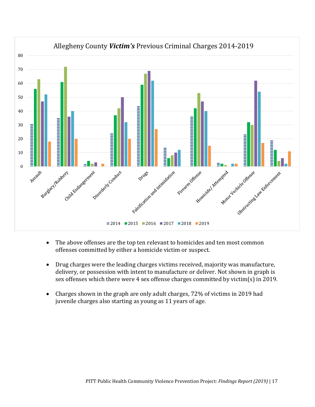

- The above offenses are the top ten relevant to homicides and ten most common offenses committed by either a homicide victim or suspect.
- Drug charges were the leading charges victims received, majority was manufacture, delivery, or possession with intent to manufacture or deliver. Not shown in graph is sex offenses which there were 4 sex offense charges committed by victim(s) in 2019.
- Charges shown in the graph are only adult charges, 72% of victims in 2019 had juvenile charges also starting as young as 11 years of age.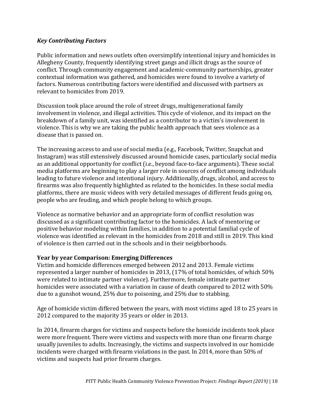#### <span id="page-24-0"></span>*Key Contributing Factors*

Public information and news outlets often oversimplify intentional injury and homicides in Allegheny County, frequently identifying street gangs and illicit drugs as the source of conflict. Through community engagement and academic-community partnerships, greater contextual information was gathered, and homicides were found to involve a variety of factors. Numerous contributing factors were identified and discussed with partners as relevant to homicides from 2019.

Discussion took place around the role of street drugs, multigenerational family involvement in violence, and illegal activities. This cycle of violence, and its impact on the breakdown of a family unit, was identified as a contributor to a victim's involvement in violence. This is why we are taking the public health approach that sees violence as a disease that is passed on.

The increasing access to and use of social media (e.g., Facebook, Twitter, Snapchat and Instagram) was still extensively discussed around homicide cases, particularly social media as an additional opportunity for conflict (i.e., beyond face-to-face arguments). These social media platforms are beginning to play a larger role in sources of conflict among individuals leading to future violence and intentional injury. Additionally, drugs, alcohol, and access to firearms was also frequently highlighted as related to the homicides. In these social media platforms, there are music videos with very detailed messages of different feuds going on, people who are feuding, and which people belong to which groups.

Violence as normative behavior and an appropriate form of conflict resolution was discussed as a significant contributing factor to the homicides. A lack of mentoring or positive behavior modeling within families, in addition to a potential familial cycle of violence was identified as relevant in the homicides from 2018 and still in 2019. This kind of violence is then carried out in the schools and in their neighborhoods.

#### **Year by year Comparison: Emerging Differences**

Victim and homicide differences emerged between 2012 and 2013. Female victims represented a larger number of homicides in 2013, (17% of total homicides, of which 50% were related to intimate partner violence). Furthermore, female intimate partner homicides were associated with a variation in cause of death compared to 2012 with 50% due to a gunshot wound, 25% due to poisoning, and 25% due to stabbing.

Age of homicide victim differed between the years, with most victims aged 18 to 25 years in 2012 compared to the majority 35 years or older in 2013.

In 2014, firearm charges for victims and suspects before the homicide incidents took place were more frequent. There were victims and suspects with more than one firearm charge usually juveniles to adults. Increasingly, the victims and suspects involved in our homicide incidents were charged with firearm violations in the past. In 2014, more than 50% of victims and suspects had prior firearm charges.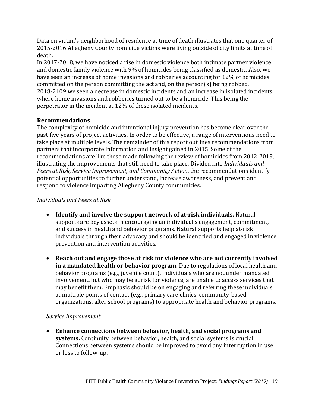Data on victim's neighborhood of residence at time of death illustrates that one quarter of 2015-2016 Allegheny County homicide victims were living outside of city limits at time of death.

In 2017-2018, we have noticed a rise in domestic violence both intimate partner violence and domestic family violence with 9% of homicides being classified as domestic. Also, we have seen an increase of home invasions and robberies accounting for 12% of homicides committed on the person committing the act and, on the person(s) being robbed. 2018-2109 we seen a decrease in domestic incidents and an increase in isolated incidents where home invasions and robberies turned out to be a homicide. This being the perpetrator in the incident at 12% of these isolated incidents.

#### **Recommendations**

The complexity of homicide and intentional injury prevention has become clear over the past five years of project activities. In order to be effective, a range of interventions need to take place at multiple levels. The remainder of this report outlines recommendations from partners that incorporate information and insight gained in 2015. Some of the recommendations are like those made following the review of homicides from 2012-2019, illustrating the improvements that still need to take place. Divided into *Individuals and Peers at Risk, Service Improvement, and Community Action*, the recommendations identify potential opportunities to further understand, increase awareness, and prevent and respond to violence impacting Allegheny County communities.

#### <span id="page-25-0"></span>*Individuals and Peers at Risk*

- **Identify and involve the support network of at-risk individuals.** Natural supports are key assets in encouraging an individual's engagement, commitment, and success in health and behavior programs. Natural supports help at-risk individuals through their advocacy and should be identified and engaged in violence prevention and intervention activities.
- **Reach out and engage those at risk for violence who are not currently involved in a mandated health or behavior program.** Due to regulations of local health and behavior programs (e.g., juvenile court), individuals who are not under mandated involvement, but who may be at risk for violence, are unable to access services that may benefit them. Emphasis should be on engaging and referring these individuals at multiple points of contact (e.g., primary care clinics, community-based organizations, after school programs) to appropriate health and behavior programs.

#### *Service Improvement*

• **Enhance connections between behavior, health, and social programs and systems.** Continuity between behavior, health, and social systems is crucial. Connections between systems should be improved to avoid any interruption in use or loss to follow-up.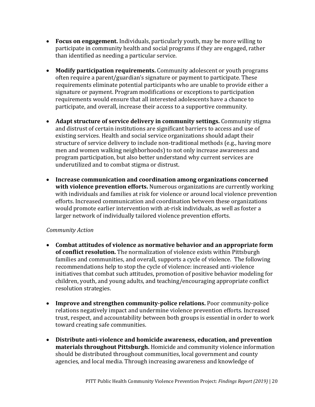- **Focus on engagement.** Individuals, particularly youth, may be more willing to participate in community health and social programs if they are engaged, rather than identified as needing a particular service.
- **Modify participation requirements.** Community adolescent or youth programs often require a parent/guardian's signature or payment to participate. These requirements eliminate potential participants who are unable to provide either a signature or payment. Program modifications or exceptions to participation requirements would ensure that all interested adolescents have a chance to participate, and overall, increase their access to a supportive community.
- Adapt structure of service delivery in community settings. Community stigma and distrust of certain institutions are significant barriers to access and use of existing services. Health and social service organizations should adapt their structure of service delivery to include non-traditional methods (e.g., having more men and women walking neighborhoods) to not only increase awareness and program participation, but also better understand why current services are underutilized and to combat stigma or distrust.
- **Increase communication and coordination among organizations concerned with violence prevention efforts.** Numerous organizations are currently working with individuals and families at risk for violence or around local violence prevention efforts. Increased communication and coordination between these organizations would promote earlier intervention with at-risk individuals, as well as foster a larger network of individually tailored violence prevention efforts.

#### *Community Action*

- **Combat attitudes of violence as normative behavior and an appropriate form of conflict resolution.** The normalization of violence exists within Pittsburgh families and communities, and overall, supports a cycle of violence. The following recommendations help to stop the cycle of violence: increased anti-violence initiatives that combat such attitudes, promotion of positive behavior modeling for children, youth, and young adults, and teaching/encouraging appropriate conflict resolution strategies.
- **Improve and strengthen community-police relations.** Poor community-police relations negatively impact and undermine violence prevention efforts. Increased trust, respect, and accountability between both groups is essential in order to work toward creating safe communities.
- **Distribute anti-violence and homicide awareness, education, and prevention materials throughout Pittsburgh.** Homicide and community violence information should be distributed throughout communities, local government and county agencies, and local media. Through increasing awareness and knowledge of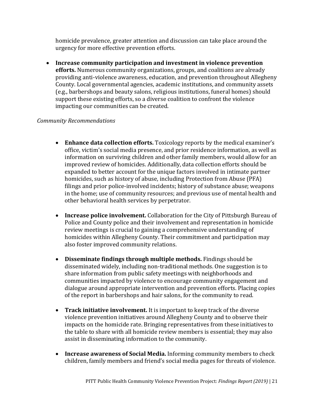homicide prevalence, greater attention and discussion can take place around the urgency for more effective prevention efforts.

• **Increase community participation and investment in violence prevention efforts.** Numerous community organizations, groups, and coalitions are already providing anti-violence awareness, education, and prevention throughout Allegheny County. Local governmental agencies, academic institutions, and community assets (e.g., barbershops and beauty salons, religious institutions, funeral homes) should support these existing efforts, so a diverse coalition to confront the violence impacting our communities can be created.

#### *Community Recommendations*

- **Enhance data collection efforts.** Toxicology reports by the medical examiner's office, victim's social media presence, and prior residence information, as well as information on surviving children and other family members, would allow for an improved review of homicides. Additionally, data collection efforts should be expanded to better account for the unique factors involved in intimate partner homicides, such as history of abuse, including Protection from Abuse (PFA) filings and prior police-involved incidents; history of substance abuse; weapons in the home; use of community resources; and previous use of mental health and other behavioral health services by perpetrator.
- **Increase police involvement.** Collaboration for the City of Pittsburgh Bureau of Police and County police and their involvement and representation in homicide review meetings is crucial to gaining a comprehensive understanding of homicides within Allegheny County. Their commitment and participation may also foster improved community relations.
- **Disseminate findings through multiple methods.** Findings should be disseminated widely, including non-traditional methods. One suggestion is to share information from public safety meetings with neighborhoods and communities impacted by violence to encourage community engagement and dialogue around appropriate intervention and prevention efforts. Placing copies of the report in barbershops and hair salons, for the community to read.
- **Track initiative involvement.** It is important to keep track of the diverse violence prevention initiatives around Allegheny County and to observe their impacts on the homicide rate. Bringing representatives from these initiatives to the table to share with all homicide review members is essential; they may also assist in disseminating information to the community.
- **Increase awareness of Social Media.** Informing community members to check children, family members and friend's social media pages for threats of violence.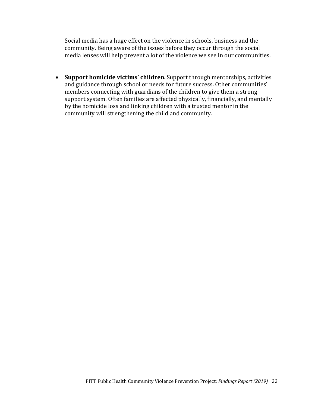Social media has a huge effect on the violence in schools, business and the community. Being aware of the issues before they occur through the social media lenses will help prevent a lot of the violence we see in our communities.

• **Support homicide victims' children**. Support through mentorships, activities and guidance through school or needs for future success. Other communities' members connecting with guardians of the children to give them a strong support system. Often families are affected physically, financially, and mentally by the homicide loss and linking children with a trusted mentor in the community will strengthening the child and community.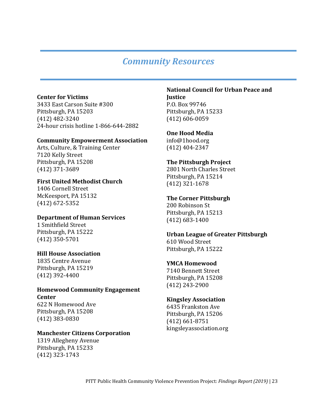## *Community Resources*

#### **Center for Victims**

3433 East Carson Suite #300 Pittsburgh, PA 15203 (412) 482-3240 24-hour crisis hotline 1-866-644-2882

#### **Community Empowerment Association**

Arts, Culture, & Training Center 7120 Kelly Street Pittsburgh, PA 15208 (412) 371-3689

#### **First United Methodist Church**

1406 Cornell Street McKeesport, PA 15132 (412) 672-5352

#### **Department of Human Services**

1 Smithfield Street Pittsburgh, PA 15222 (412) 350-5701

#### **Hill House Association**

1835 Centre Avenue Pittsburgh, PA 15219 (412) 392-4400

#### **Homewood Community Engagement Center**

622 N Homewood Ave Pittsburgh, PA 15208 (412) 383-0830

#### **Manchester Citizens Corporation**

1319 Allegheny Avenue Pittsburgh, PA 15233 (412) 323-1743

### **National Council for Urban Peace and Justice**

P.O. Box 99746 Pittsburgh, PA 15233 (412) 606-0059

#### **One Hood Media**

info@1hood.org (412) 404-2347

#### **The Pittsburgh Project**

2801 North Charles Street Pittsburgh, PA 15214 (412) 321-1678

#### **The Corner Pittsburgh**

200 Robinson St Pittsburgh, PA 15213 (412) 683-1400

#### **Urban League of Greater Pittsburgh**

610 Wood Street Pittsburgh, PA 15222

#### **YMCA Homewood**

7140 Bennett Street Pittsburgh, PA 15208 (412) 243-2900

#### **Kingsley Association**

6435 Frankston Ave Pittsburgh, PA 15206 (412) 661-8751 kingsleyassociation.org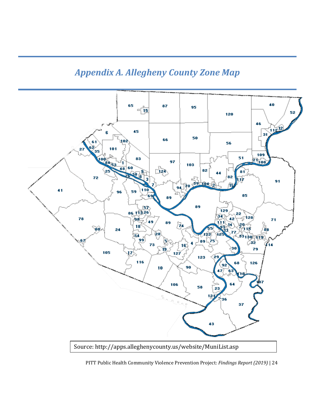## *Appendix A. Allegheny County Zone Map*



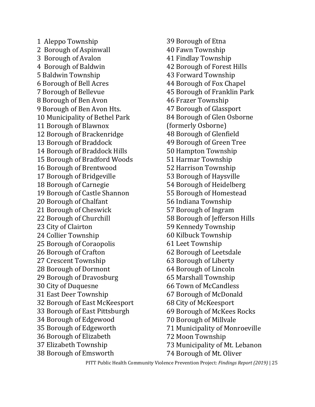1 Aleppo Township 2 Borough of Aspinwall 3 Borough of Avalon 4 Borough of Baldwin 5 Baldwin Township 6 Borough of Bell Acres 7 Borough of Bellevue 8 Borough of Ben Avon 9 Borough of Ben Avon Hts. 10 Municipality of Bethel Park 11 Borough of Blawnox 12 Borough of Brackenridge 13 Borough of Braddock 14 Borough of Braddock Hills 15 Borough of Bradford Woods 16 Borough of Brentwood 17 Borough of Bridgeville 18 Borough of Carnegie 19 Borough of Castle Shannon 20 Borough of Chalfant 21 Borough of Cheswick 22 Borough of Churchill 23 City of Clairton 24 Collier Township 25 Borough of Coraopolis 26 Borough of Crafton 27 Crescent Township 28 Borough of Dormont 29 Borough of Dravosburg 30 City of Duquesne 31 East Deer Township 32 Borough of East McKeesport 33 Borough of East Pittsburgh 34 Borough of Edgewood 35 Borough of Edgeworth 36 Borough of Elizabeth 37 Elizabeth Township 38 Borough of Emsworth

39 Borough of Etna 40 Fawn Township 41 Findlay Township 42 Borough of Forest Hills 43 Forward Township 44 Borough of Fox Chapel 45 Borough of Franklin Park 46 Frazer Township 47 Borough of Glassport 84 Borough of Glen Osborne (formerly Osborne) 48 Borough of Glenfield 49 Borough of Green Tree 50 Hampton Township 51 Harmar Township 52 Harrison Township 53 Borough of Haysville 54 Borough of Heidelberg 55 Borough of Homestead 56 Indiana Township 57 Borough of Ingram 58 Borough of Jefferson Hills 59 Kennedy Township 60 Kilbuck Township 61 Leet Township 62 Borough of Leetsdale 63 Borough of Liberty 64 Borough of Lincoln 65 Marshall Township 66 Town of McCandless 67 Borough of McDonald 68 City of McKeesport 69 Borough of McKees Rocks 70 Borough of Millvale 71 Municipality of Monroeville 72 Moon Township 73 Municipality of Mt. Lebanon 74 Borough of Mt. Oliver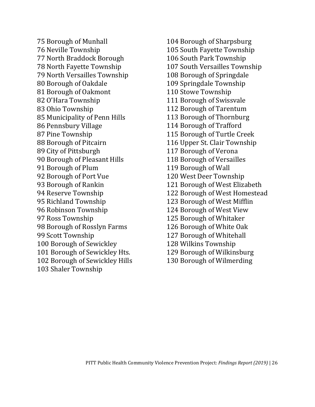75 Borough of Munhall 76 Neville Township 77 North Braddock Borough 78 North Fayette Township 79 North Versailles Township 80 Borough of Oakdale 81 Borough of Oakmont 82 O'Hara Township 83 Ohio Township 85 Municipality of Penn Hills 86 Pennsbury Village 87 Pine Township 88 Borough of Pitcairn 89 City of Pittsburgh 90 Borough of Pleasant Hills 91 Borough of Plum 92 Borough of Port Vue 93 Borough of Rankin 94 Reserve Township 95 Richland Township 96 Robinson Township 97 Ross Township 98 Borough of Rosslyn Farms 99 Scott Township 100 Borough of Sewickley 101 Borough of Sewickley Hts. 102 Borough of Sewickley Hills 103 Shaler Township

104 Borough of Sharpsburg 105 South Fayette Township 106 South Park Township 107 South Versailles Township 108 Borough of Springdale 109 Springdale Township 110 Stowe Township 111 Borough of Swissvale 112 Borough of Tarentum 113 Borough of Thornburg 114 Borough of Trafford 115 Borough of Turtle Creek 116 Upper St. Clair Township 117 Borough of Verona 118 Borough of Versailles 119 Borough of Wall 120 West Deer Township 121 Borough of West Elizabeth 122 Borough of West Homestead 123 Borough of West Mifflin 124 Borough of West View 125 Borough of Whitaker 126 Borough of White Oak 127 Borough of Whitehall 128 Wilkins Township 129 Borough of Wilkinsburg 130 Borough of Wilmerding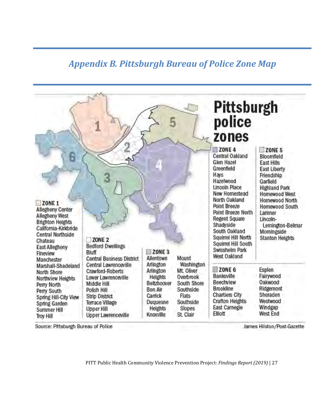## *Appendix B. Pittsburgh Bureau of Police Zone Map*

|                                                                                                                                                                                                      |                                                                                                                                                                          |                                                                                                            |                                                                                                                | Pittsburgh<br>police<br>zones                                                                                                                                                                                                                                                                                                             |                                                                                                                                                                                                                                                          |
|------------------------------------------------------------------------------------------------------------------------------------------------------------------------------------------------------|--------------------------------------------------------------------------------------------------------------------------------------------------------------------------|------------------------------------------------------------------------------------------------------------|----------------------------------------------------------------------------------------------------------------|-------------------------------------------------------------------------------------------------------------------------------------------------------------------------------------------------------------------------------------------------------------------------------------------------------------------------------------------|----------------------------------------------------------------------------------------------------------------------------------------------------------------------------------------------------------------------------------------------------------|
| ZONE <sub>1</sub><br><b>Allegheny Center</b><br>Allegheny West<br><b>Brighton Heights</b><br>California-Kirkbride<br><b>Central Northside</b><br>Chateau<br>East Allegheny<br>Fineview<br>Manchester | ZONE <sub>2</sub><br><b>Bedford Dwellings</b><br>Bluff<br><b>Central Business District</b>                                                                               | ZONE <sub>3</sub><br>Allentown                                                                             | Mount                                                                                                          | ZONE <sub>4</sub><br><b>Central Oakland</b><br>Glen Hazel<br>Greenfield<br>Hays<br>Hazelwood<br><b>Lincoln Place</b><br>New Homestead<br>North Oakland<br><b>Point Breeze</b><br>Point Breeze North<br><b>Regent Square</b><br>Shadyside<br>South Oakland<br>Squirrel Hill North<br>Squirrel Hill South<br>Swisshelm Park<br>West Oakland | ZONE <sub>5</sub><br>Bloomfield<br>East Hills<br>East Liberty<br>Friendship<br>Garfield<br><b>Highland Park</b><br>Homewood West<br>Homewood North<br>Homewood South<br>Larimer<br>Lincoln-<br>Lemington-Belmar<br>Morningside<br><b>Stanton Heights</b> |
| Marshall-Shadeland<br>North Shore<br>Northview Heights<br>Perry North<br>Perry South<br>Spring Hill-City View<br>Spring Garden<br>Summer Hill<br><b>Troy Hill</b>                                    | Central Lawrenceville<br>Crawford-Roberts<br>Lower Lawrenceville<br>Middle Hill<br>Polish Hill<br>Strip District<br>Terrace Village<br>Upper Hill<br>Upper Lawrenceville | Arlington<br>Arlington<br>Heights<br>Beltzhoover<br>Bon Air<br>Carrick<br>Duquesne<br>Heights<br>Knoxville | Washington<br>Mt. Oliver<br>Overbrook<br>South Shore<br>Southside<br>Flats<br>Southside<br>Slopes<br>St. Clair | ZONE <sub>6</sub><br>Banksville<br>Beechview<br><b>Brookline</b><br><b>Chartiers City</b><br><b>Crafton Heights</b><br>East Carnegie<br>Elliott                                                                                                                                                                                           | Esplen<br>Fairywood<br>Oakwood<br>Ridgemont<br>Sheraden<br>Westwood<br>Windgap<br>West End                                                                                                                                                               |

<span id="page-33-0"></span>Source: Pittsburgh Bureau of Police

James Hilston/Post-Gazette